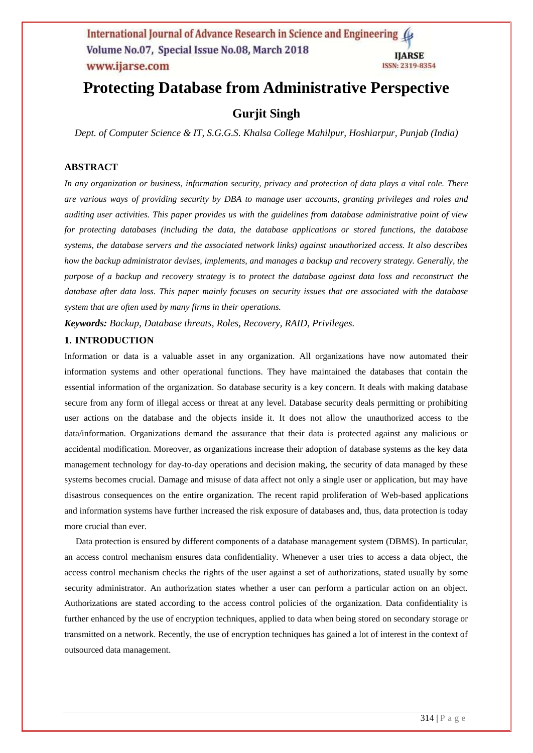# **Protecting Database from Administrative Perspective**

# **Gurjit Singh**

*Dept. of Computer Science & IT, S.G.G.S. Khalsa College Mahilpur, Hoshiarpur, Punjab (India)*

# **ABSTRACT**

*In any organization or business, information security, privacy and protection of data plays a vital role. There are various ways of providing security by DBA to manage user accounts, granting privileges and roles and auditing user activities. This paper provides us with the guidelines from database administrative point of view for protecting databases (including the data, the database applications or stored functions, the database systems, the database servers and the associated network links) against unauthorized access. It also describes how the backup administrator devises, implements, and manages a [backup and recovery](http://docs.oracle.com/cd/E11882_01/backup.112/e10642/glossary.htm#i432085) strategy. Generally, the purpose of a backup and recovery strategy is to protect the database against data loss and reconstruct the database after data loss. This paper mainly focuses on security issues that are associated with the database system that are often used by many firms in their operations.*

*Keywords: Backup, Database threats, Roles, Recovery, RAID, Privileges.*

### **1. INTRODUCTION**

Information or data is a valuable asset in any organization. All organizations have now automated their information systems and other operational functions. They have maintained the databases that contain the essential information of the organization. So database security is a key concern. It deals with making database secure from any form of illegal access or threat at any level. Database security deals permitting or prohibiting user actions on the database and the objects inside it. It does not allow the unauthorized access to the data/information. Organizations demand the assurance that their data is protected against any malicious or accidental modification. Moreover, as organizations increase their adoption of database systems as the key data management technology for day-to-day operations and decision making, the security of data managed by these systems becomes crucial. Damage and misuse of data affect not only a single user or application, but may have disastrous consequences on the entire organization. The recent rapid proliferation of Web-based applications and information systems have further increased the risk exposure of databases and, thus, data protection is today more crucial than ever.

 Data protection is ensured by different components of a database management system (DBMS). In particular, an access control mechanism ensures data confidentiality. Whenever a user tries to access a data object, the access control mechanism checks the rights of the user against a set of authorizations, stated usually by some security administrator. An authorization states whether a user can perform a particular action on an object. Authorizations are stated according to the access control policies of the organization. Data confidentiality is further enhanced by the use of encryption techniques, applied to data when being stored on secondary storage or transmitted on a network. Recently, the use of encryption techniques has gained a lot of interest in the context of outsourced data management.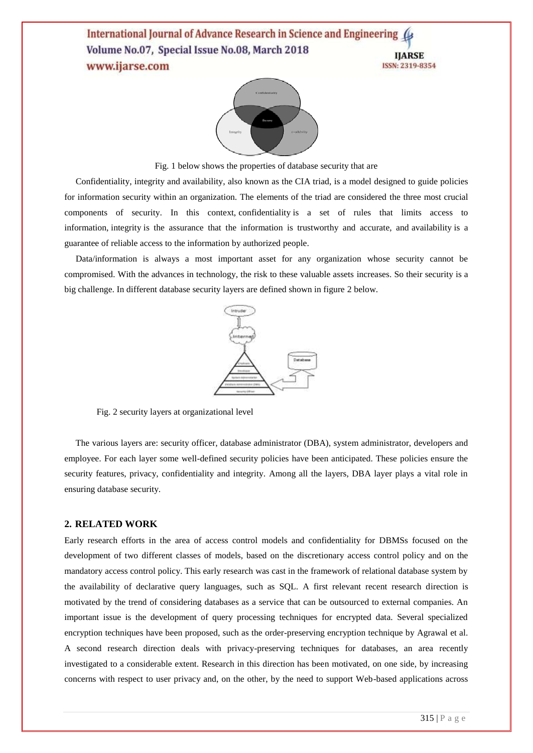

Fig. 1 below shows the properties of database security that are

 Confidentiality, integrity and availability, also known as the CIA triad, is a model designed to guide policies for information security within an organization. The elements of the triad are considered the three most crucial components of security. In this context, [confidentiality](http://whatis.techtarget.com/definition/confidentiality) is a set of rules that limits access to information, [integrity](http://searchdatacenter.techtarget.com/definition/integrity) is the assurance that the information is trustworthy and accurate, and [availability](http://searchstorage.techtarget.com/definition/data-availability) is a guarantee of reliable access to the information by authorized people.

 Data/information is always a most important asset for any organization whose security cannot be compromised. With the advances in technology, the risk to these valuable assets increases. So their security is a big challenge. In different database security layers are defined shown in figure 2 below.



Fig. 2 security layers at organizational level

 The various layers are: security officer, database administrator (DBA), system administrator, developers and employee. For each layer some well-defined security policies have been anticipated. These policies ensure the security features, privacy, confidentiality and integrity. Among all the layers, DBA layer plays a vital role in ensuring database security.

### **2. RELATED WORK**

Early research efforts in the area of access control models and confidentiality for DBMSs focused on the development of two different classes of models, based on the discretionary access control policy and on the mandatory access control policy. This early research was cast in the framework of relational database system by the availability of declarative query languages, such as SQL. A first relevant recent research direction is motivated by the trend of considering databases as a service that can be outsourced to external companies. An important issue is the development of query processing techniques for encrypted data. Several specialized encryption techniques have been proposed, such as the order-preserving encryption technique by Agrawal et al. A second research direction deals with privacy-preserving techniques for databases, an area recently investigated to a considerable extent. Research in this direction has been motivated, on one side, by increasing concerns with respect to user privacy and, on the other, by the need to support Web-based applications across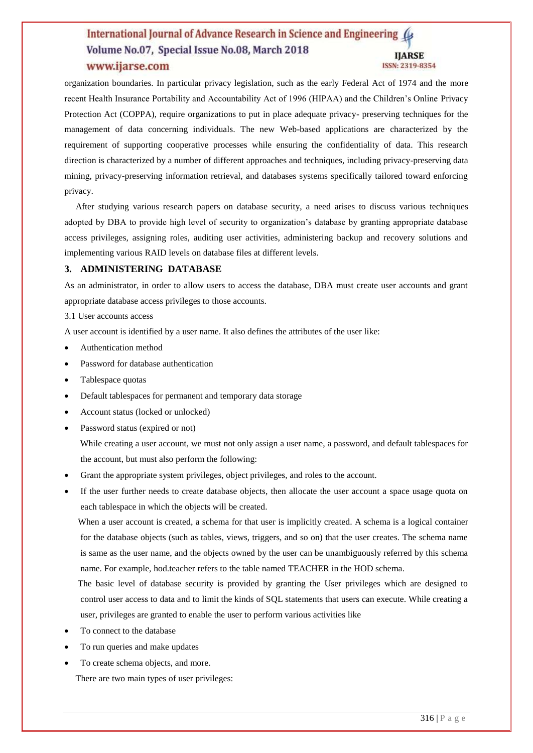organization boundaries. In particular privacy legislation, such as the early Federal Act of 1974 and the more recent Health Insurance Portability and Accountability Act of 1996 (HIPAA) and the Children's Online Privacy Protection Act (COPPA), require organizations to put in place adequate privacy- preserving techniques for the management of data concerning individuals. The new Web-based applications are characterized by the requirement of supporting cooperative processes while ensuring the confidentiality of data. This research direction is characterized by a number of different approaches and techniques, including privacy-preserving data mining, privacy-preserving information retrieval, and databases systems specifically tailored toward enforcing privacy.

 After studying various research papers on database security, a need arises to discuss various techniques adopted by DBA to provide high level of security to organization's database by granting appropriate database access privileges, assigning roles, auditing user activities, administering backup and recovery solutions and implementing various RAID levels on database files at different levels.

### **3. ADMINISTERING DATABASE**

As an administrator, in order to allow users to access the database, DBA must create user accounts and grant appropriate database access privileges to those accounts.

3.1 User accounts access

A user account is identified by a user name. It also defines the attributes of the user like:

- Authentication method
- Password for database authentication
- Tablespace quotas
- Default tablespaces for permanent and temporary data storage
- Account status (locked or unlocked)
- Password status (expired or not)

 While creating a user account, we must not only assign a user name, a password, and default tablespaces for the account, but must also perform the following:

- Grant the appropriate system privileges, object privileges, and roles to the account.
- If the user further needs to create database objects, then allocate the user account a space usage quota on each tablespace in which the objects will be created.

When a user account is created, a schema for that user is implicitly created. A schema is a logical container for the database objects (such as tables, views, triggers, and so on) that the user creates. The schema name is same as the user name, and the objects owned by the user can be unambiguously referred by this schema name. For example, hod.teacher refers to the table named TEACHER in the HOD schema.

The basic level of database security is provided by granting the User privileges which are designed to control user access to data and to limit the kinds of SQL statements that users can execute. While creating a user, privileges are granted to enable the user to perform various activities like

- To connect to the database
- To run queries and make updates
- To create schema objects, and more.

There are two main types of user privileges: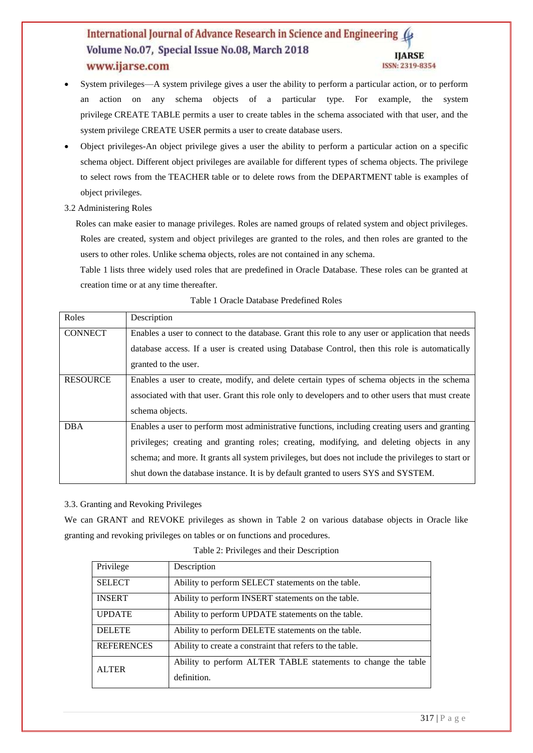- System privileges—A system privilege gives a user the ability to perform a particular action, or to perform an action on any schema objects of a particular type. For example, the system privilege CREATE TABLE permits a user to create tables in the schema associated with that user, and the system privilege CREATE USER permits a user to create database users.
- Object privileges-An object privilege gives a user the ability to perform a particular action on a specific schema object. Different object privileges are available for different types of schema objects. The privilege to select rows from the TEACHER table or to delete rows from the DEPARTMENT table is examples of object privileges.
- 3.2 Administering Roles

Roles can make easier to manage privileges. Roles are named groups of related system and object privileges. Roles are created, system and object privileges are granted to the roles, and then roles are granted to the users to other roles. Unlike schema objects, roles are not contained in any schema.

 [Table 1](http://docs.oracle.com/cd/E11882_01/server.112/e10897/users_secure.htm#CHDHGCGH) lists three widely used roles that are predefined in Oracle Database. These roles can be granted at creation time or at any time thereafter.

| Roles           | Description                                                                                        |  |  |  |
|-----------------|----------------------------------------------------------------------------------------------------|--|--|--|
| <b>CONNECT</b>  | Enables a user to connect to the database. Grant this role to any user or application that needs   |  |  |  |
|                 | database access. If a user is created using Database Control, then this role is automatically      |  |  |  |
|                 | granted to the user.                                                                               |  |  |  |
| <b>RESOURCE</b> | Enables a user to create, modify, and delete certain types of schema objects in the schema         |  |  |  |
|                 | associated with that user. Grant this role only to developers and to other users that must create  |  |  |  |
|                 | schema objects.                                                                                    |  |  |  |
| <b>DBA</b>      | Enables a user to perform most administrative functions, including creating users and granting     |  |  |  |
|                 | privileges; creating and granting roles; creating, modifying, and deleting objects in any          |  |  |  |
|                 | schema; and more. It grants all system privileges, but does not include the privileges to start or |  |  |  |
|                 | shut down the database instance. It is by default granted to users SYS and SYSTEM.                 |  |  |  |

### Table 1 Oracle Database Predefined Roles

## 3.3. Granting and Revoking Privileges

We can GRANT and REVOKE privileges as shown in Table 2 on various database objects in Oracle like granting and revoking privileges on tables or on functions and procedures.

| Privilege         | Description                                                   |  |  |
|-------------------|---------------------------------------------------------------|--|--|
| <b>SELECT</b>     | Ability to perform SELECT statements on the table.            |  |  |
| <b>INSERT</b>     | Ability to perform INSERT statements on the table.            |  |  |
| <b>UPDATE</b>     | Ability to perform UPDATE statements on the table.            |  |  |
| <b>DELETE</b>     | Ability to perform DELETE statements on the table.            |  |  |
| <b>REFERENCES</b> | Ability to create a constraint that refers to the table.      |  |  |
| <b>ALTER</b>      | Ability to perform ALTER TABLE statements to change the table |  |  |
|                   | definition.                                                   |  |  |

### Table 2: Privileges and their Description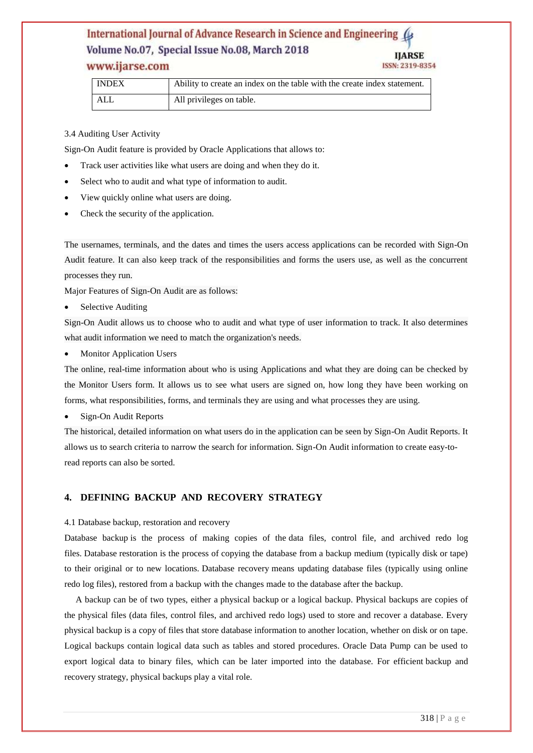# www.ijarse.com

| <b>INDEX</b> | Ability to create an index on the table with the create index statement. |
|--------------|--------------------------------------------------------------------------|
| ALL          | All privileges on table.                                                 |

3.4 Auditing User Activity

Sign-On Audit feature is provided by Oracle Applications that allows to:

- Track user activities like what users are doing and when they do it.
- Select who to audit and what type of information to audit.
- View quickly online what users are doing.
- Check the security of the application.

The usernames, terminals, and the dates and times the users access applications can be recorded with Sign-On Audit feature. It can also keep track of the responsibilities and forms the users use, as well as the concurrent processes they run.

Major Features of Sign-On Audit are as follows:

Selective Auditing

Sign-On Audit allows us to choose who to audit and what type of user information to track. It also determines what audit information we need to match the organization's needs.

Monitor Application Users

The online, real-time information about who is using Applications and what they are doing can be checked by the Monitor Users form. It allows us to see what users are signed on, how long they have been working on forms, what responsibilities, forms, and terminals they are using and what processes they are using.

Sign-On Audit Reports

The historical, detailed information on what users do in the application can be seen by Sign-On Audit Reports. It allows us to search criteria to narrow the search for information. Sign-On Audit information to create easy-toread reports can also be sorted.

## **4. DEFINING BACKUP AND RECOVERY STRATEGY**

### 4.1 Database backup, restoration and recovery

Database backup is the process of making copies of the data files, control file, and archived redo log files. Database restoration is the process of copying the database from a backup medium (typically disk or tape) to their original or to new locations. Database recovery means updating database files (typically using online redo log files), restored from a backup with the changes made to the database after the backup.

 A backup can be of two types, either a [physical backup](http://docs.oracle.com/cd/E11882_01/backup.112/e10642/glossary.htm#CHDHEGBF) or a [logical backup.](http://docs.oracle.com/cd/E11882_01/backup.112/e10642/glossary.htm#i997880) Physical backups are copies of the physical files (data files, control files, and archived redo logs) used to store and recover a database. Every physical backup is a copy of files that store database information to another location, whether on disk or on tape. Logical backups contain logical data such as tables and stored procedures. Oracle Data Pump can be used to export logical data to binary files, which can be later imported into the database. For efficient backup and recovery strategy, physical backups play a vital role.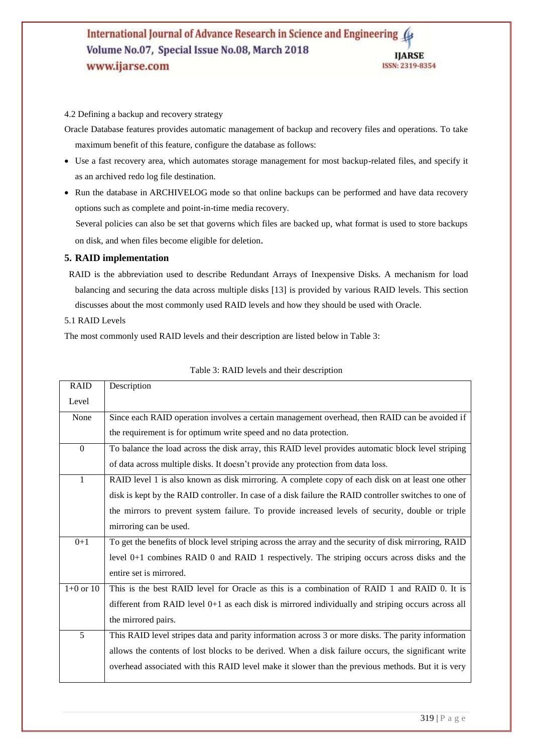4.2 Defining a backup and recovery strategy

Oracle Database features provides automatic management of backup and recovery files and operations. To take maximum benefit of this feature, configure the database as follows:

- Use a fast recovery area, which automates storage management for most backup-related files, and specify it as an archived redo log file destination.
- Run the database in ARCHIVELOG mode so that online backups can be performed and have data recovery options such as complete and point-in-time media recovery.

 Several policies can also be set that governs which files are backed up, what format is used to store backups on disk, and when files become eligible for deletion.

## **5. RAID implementation**

- RAID is the abbreviation used to describe Redundant Arrays of Inexpensive Disks. A mechanism for load balancing and securing the data across multiple disks [13] is provided by various RAID levels. This section discusses about the most commonly used RAID levels and how they should be used with Oracle.
- 5.1 RAID Levels

Г

The most commonly used RAID levels and their description are listed below in Table 3:

| <b>RAID</b>      | Description                                                                                           |
|------------------|-------------------------------------------------------------------------------------------------------|
| Level            |                                                                                                       |
| None             | Since each RAID operation involves a certain management overhead, then RAID can be avoided if         |
|                  | the requirement is for optimum write speed and no data protection.                                    |
| $\boldsymbol{0}$ | To balance the load across the disk array, this RAID level provides automatic block level striping    |
|                  | of data across multiple disks. It doesn't provide any protection from data loss.                      |
| $\mathbf{1}$     | RAID level 1 is also known as disk mirroring. A complete copy of each disk on at least one other      |
|                  | disk is kept by the RAID controller. In case of a disk failure the RAID controller switches to one of |
|                  | the mirrors to prevent system failure. To provide increased levels of security, double or triple      |
|                  | mirroring can be used.                                                                                |
| $0+1$            | To get the benefits of block level striping across the array and the security of disk mirroring, RAID |
|                  | level $0+1$ combines RAID 0 and RAID 1 respectively. The striping occurs across disks and the         |
|                  | entire set is mirrored.                                                                               |
| $1+0$ or $10$    | This is the best RAID level for Oracle as this is a combination of RAID 1 and RAID 0. It is           |
|                  | different from RAID level 0+1 as each disk is mirrored individually and striping occurs across all    |
|                  | the mirrored pairs.                                                                                   |
| 5                | This RAID level stripes data and parity information across 3 or more disks. The parity information    |
|                  | allows the contents of lost blocks to be derived. When a disk failure occurs, the significant write   |
|                  | overhead associated with this RAID level make it slower than the previous methods. But it is very     |

### Table 3: RAID levels and their description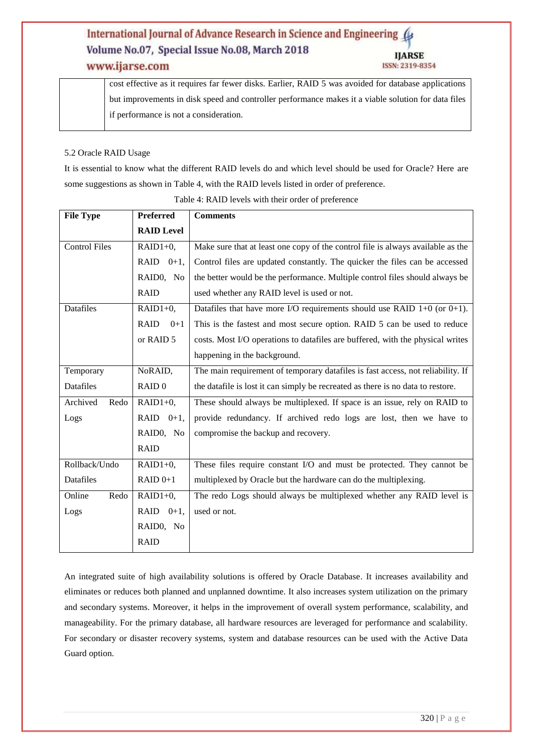# www.ijarse.com

cost effective as it requires far fewer disks. Earlier, RAID 5 was avoided for database applications but improvements in disk speed and controller performance makes it a viable solution for data files if performance is not a consideration.

### 5.2 Oracle RAID Usage

It is essential to know what the different RAID levels do and which level should be used for Oracle? Here are some suggestions as shown in Table 4, with the RAID levels listed in order of preference.

| <b>File Type</b>     | Preferred            | <b>Comments</b>                                                                 |
|----------------------|----------------------|---------------------------------------------------------------------------------|
|                      | <b>RAID Level</b>    |                                                                                 |
| <b>Control Files</b> | $RAID1+0,$           | Make sure that at least one copy of the control file is always available as the |
|                      | RAID $0+1$ ,         | Control files are updated constantly. The quicker the files can be accessed     |
|                      | RAID0, No            | the better would be the performance. Multiple control files should always be    |
|                      | <b>RAID</b>          | used whether any RAID level is used or not.                                     |
| <b>Datafiles</b>     | $RAID1+0,$           | Datafiles that have more I/O requirements should use RAID $1+0$ (or $0+1$ ).    |
|                      | <b>RAID</b><br>$0+1$ | This is the fastest and most secure option. RAID 5 can be used to reduce        |
|                      | or RAID 5            | costs. Most I/O operations to datafiles are buffered, with the physical writes  |
|                      |                      | happening in the background.                                                    |
| Temporary            | NoRAID,              | The main requirement of temporary datafiles is fast access, not reliability. If |
| <b>Datafiles</b>     | RAID <sub>0</sub>    | the datafile is lost it can simply be recreated as there is no data to restore. |
| Archived<br>Redo     | $RAID1+0,$           | These should always be multiplexed. If space is an issue, rely on RAID to       |
| Logs                 | RAID $0+1$ ,         | provide redundancy. If archived redo logs are lost, then we have to             |
|                      | RAIDO, No            | compromise the backup and recovery.                                             |
|                      | <b>RAID</b>          |                                                                                 |
| Rollback/Undo        | $RAID1+0,$           | These files require constant I/O and must be protected. They cannot be          |
| Datafiles            | $RAID 0+1$           | multiplexed by Oracle but the hardware can do the multiplexing.                 |
| Online<br>Redo       | $RAID1+0,$           | The redo Logs should always be multiplexed whether any RAID level is            |
| Logs                 | RAID $0+1$ ,         | used or not.                                                                    |
|                      | RAID0, No            |                                                                                 |
|                      | <b>RAID</b>          |                                                                                 |

Table 4: RAID levels with their order of preference

An integrated suite of high availability solutions is offered by Oracle Database. It increases availability and eliminates or reduces both planned and unplanned downtime. It also increases system utilization on the primary and secondary systems. Moreover, it helps in the improvement of overall system performance, scalability, and manageability. For the primary database, all hardware resources are leveraged for performance and scalability. For secondary or disaster recovery systems, system and database resources can be used with the Active Data Guard option.